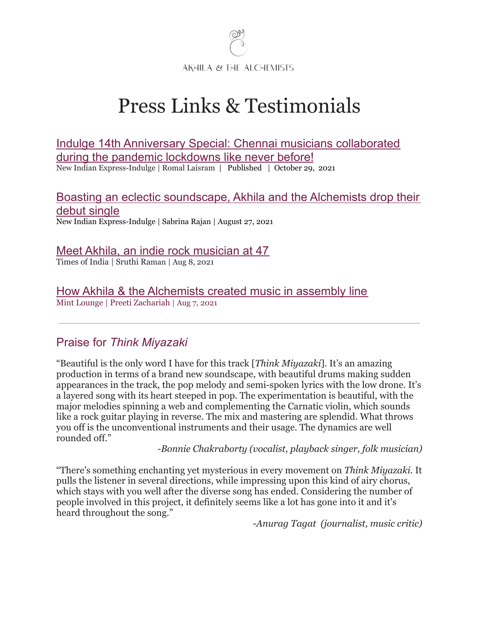

# Press Links & Testimonials

[Indulge 14th Anniversary Special: Chennai musicians collaborated](https://www.indulgexpress.com/culture/music/2021/oct/29/indulge-14th-anniversary-special-chennai-musicians-collaborated-during-the-pandemic-like-never-befo-36668.html) [during the pandemic lockdowns like never before!](https://www.indulgexpress.com/culture/music/2021/oct/29/indulge-14th-anniversary-special-chennai-musicians-collaborated-during-the-pandemic-like-never-befo-36668.html) New Indian Express-Indulge | Romal Laisram | Published | October 29, 2021

[Boasting an eclectic soundscape, Akhila and the Alchemists drop their](https://www.indulgexpress.com/culture/music/2021/aug/27/boasting-an-eclectic-soundscape-akhila-and-the-alchemists-drop-their-debut-single-35314.html) [debut single](https://www.indulgexpress.com/culture/music/2021/aug/27/boasting-an-eclectic-soundscape-akhila-and-the-alchemists-drop-their-debut-single-35314.html)

New Indian Express-Indulge | [Sabrina](https://www.indulgexpress.com/authors/?q=Sabrina-Rajan) Rajan | August 27, 2021

## [Meet Akhila, an indie rock musician at 47](https://timesofindia.indiatimes.com/entertainment/tamil/music/meet-akhila-an-indie-rock-musician-at-47/articleshow/85129864.cms)

Times of India | Sruthi Raman | Aug 8, 2021

[How Akhila & the Alchemists created music in assembly line](https://lifestyle.livemint.com/how-to-lounge/art-culture/how-akhila-the-alchemists-created-music-in-assembly-line-111628252110989.html)

Mint Lounge | Preeti Zachariah | Aug 7, 2021

# Praise for *Think Miyazaki*

"Beautiful is the only word I have for this track [*Think Miyazaki*]. It's an amazing production in terms of a brand new soundscape, with beautiful drums making sudden appearances in the track, the pop melody and semi-spoken lyrics with the low drone. It's a layered song with its heart steeped in pop. The experimentation is beautiful, with the major melodies spinning a web and complementing the Carnatic violin, which sounds like a rock guitar playing in reverse. The mix and mastering are splendid. What throws you off is the unconventional instruments and their usage. The dynamics are well rounded off."

*-Bonnie Chakraborty (vocalist, playback singer, folk musician)*

"There's something enchanting yet mysterious in every movement on *Think Miyazaki*. It pulls the listener in several directions, while impressing upon this kind of airy chorus, which stays with you well after the diverse song has ended. Considering the number of people involved in this project, it definitely seems like a lot has gone into it and it's heard throughout the song."

*-Anurag Tagat (journalist, music critic)*